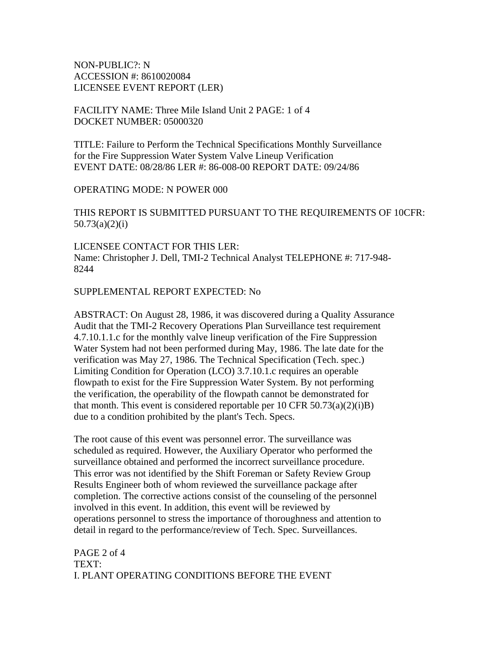NON-PUBLIC?: N ACCESSION #: 8610020084 LICENSEE EVENT REPORT (LER)

## FACILITY NAME: Three Mile Island Unit 2 PAGE: 1 of 4 DOCKET NUMBER: 05000320

TITLE: Failure to Perform the Technical Specifications Monthly Surveillance for the Fire Suppression Water System Valve Lineup Verification EVENT DATE: 08/28/86 LER #: 86-008-00 REPORT DATE: 09/24/86

### OPERATING MODE: N POWER 000

THIS REPORT IS SUBMITTED PURSUANT TO THE REQUIREMENTS OF 10CFR: 50.73(a)(2)(i)

LICENSEE CONTACT FOR THIS LER: Name: Christopher J. Dell, TMI-2 Technical Analyst TELEPHONE #: 717-948- 8244

SUPPLEMENTAL REPORT EXPECTED: No

ABSTRACT: On August 28, 1986, it was discovered during a Quality Assurance Audit that the TMI-2 Recovery Operations Plan Surveillance test requirement 4.7.10.1.1.c for the monthly valve lineup verification of the Fire Suppression Water System had not been performed during May, 1986. The late date for the verification was May 27, 1986. The Technical Specification (Tech. spec.) Limiting Condition for Operation (LCO) 3.7.10.1.c requires an operable flowpath to exist for the Fire Suppression Water System. By not performing the verification, the operability of the flowpath cannot be demonstrated for that month. This event is considered reportable per 10 CFR  $50.73(a)(2)(i)B$ ) due to a condition prohibited by the plant's Tech. Specs.

The root cause of this event was personnel error. The surveillance was scheduled as required. However, the Auxiliary Operator who performed the surveillance obtained and performed the incorrect surveillance procedure. This error was not identified by the Shift Foreman or Safety Review Group Results Engineer both of whom reviewed the surveillance package after completion. The corrective actions consist of the counseling of the personnel involved in this event. In addition, this event will be reviewed by operations personnel to stress the importance of thoroughness and attention to detail in regard to the performance/review of Tech. Spec. Surveillances.

PAGE 2 of 4 TEXT: I. PLANT OPERATING CONDITIONS BEFORE THE EVENT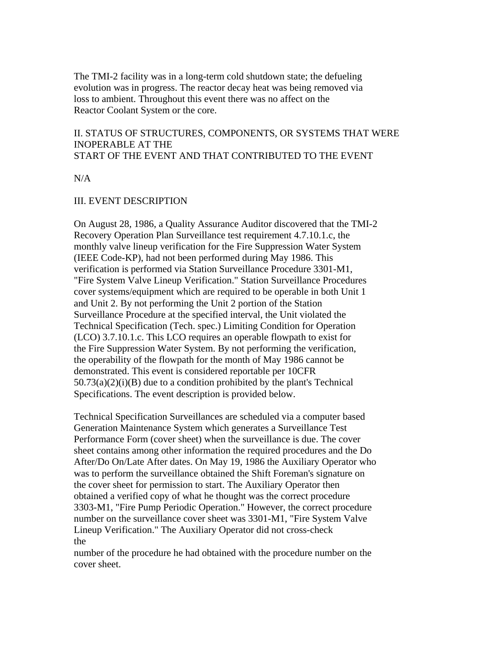The TMI-2 facility was in a long-term cold shutdown state; the defueling evolution was in progress. The reactor decay heat was being removed via loss to ambient. Throughout this event there was no affect on the Reactor Coolant System or the core.

## II. STATUS OF STRUCTURES, COMPONENTS, OR SYSTEMS THAT WERE INOPERABLE AT THE START OF THE EVENT AND THAT CONTRIBUTED TO THE EVENT

 $N/A$ 

## III. EVENT DESCRIPTION

On August 28, 1986, a Quality Assurance Auditor discovered that the TMI-2 Recovery Operation Plan Surveillance test requirement 4.7.10.1.c, the monthly valve lineup verification for the Fire Suppression Water System (IEEE Code-KP), had not been performed during May 1986. This verification is performed via Station Surveillance Procedure 3301-M1, "Fire System Valve Lineup Verification." Station Surveillance Procedures cover systems/equipment which are required to be operable in both Unit 1 and Unit 2. By not performing the Unit 2 portion of the Station Surveillance Procedure at the specified interval, the Unit violated the Technical Specification (Tech. spec.) Limiting Condition for Operation (LCO) 3.7.10.1.c. This LCO requires an operable flowpath to exist for the Fire Suppression Water System. By not performing the verification, the operability of the flowpath for the month of May 1986 cannot be demonstrated. This event is considered reportable per 10CFR  $50.73(a)(2)(i)(B)$  due to a condition prohibited by the plant's Technical Specifications. The event description is provided below.

Technical Specification Surveillances are scheduled via a computer based Generation Maintenance System which generates a Surveillance Test Performance Form (cover sheet) when the surveillance is due. The cover sheet contains among other information the required procedures and the Do After/Do On/Late After dates. On May 19, 1986 the Auxiliary Operator who was to perform the surveillance obtained the Shift Foreman's signature on the cover sheet for permission to start. The Auxiliary Operator then obtained a verified copy of what he thought was the correct procedure 3303-M1, "Fire Pump Periodic Operation." However, the correct procedure number on the surveillance cover sheet was 3301-M1, "Fire System Valve Lineup Verification." The Auxiliary Operator did not cross-check the

number of the procedure he had obtained with the procedure number on the cover sheet.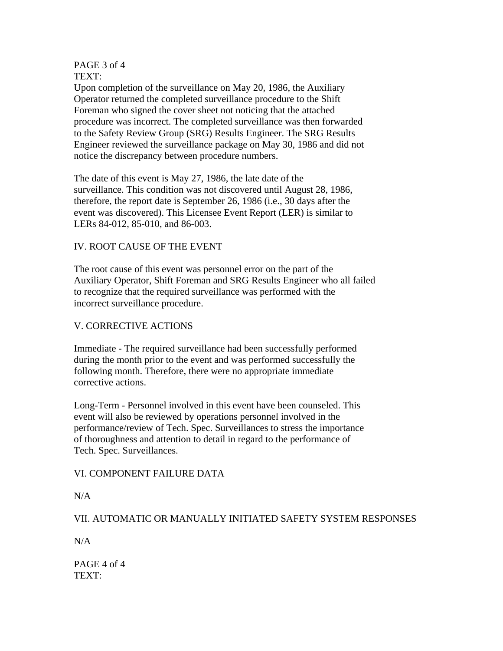#### PAGE 3 of 4 TEXT:

Upon completion of the surveillance on May 20, 1986, the Auxiliary Operator returned the completed surveillance procedure to the Shift Foreman who signed the cover sheet not noticing that the attached procedure was incorrect. The completed surveillance was then forwarded to the Safety Review Group (SRG) Results Engineer. The SRG Results Engineer reviewed the surveillance package on May 30, 1986 and did not notice the discrepancy between procedure numbers.

The date of this event is May 27, 1986, the late date of the surveillance. This condition was not discovered until August 28, 1986, therefore, the report date is September 26, 1986 (i.e., 30 days after the event was discovered). This Licensee Event Report (LER) is similar to LERs 84-012, 85-010, and 86-003.

# IV. ROOT CAUSE OF THE EVENT

The root cause of this event was personnel error on the part of the Auxiliary Operator, Shift Foreman and SRG Results Engineer who all failed to recognize that the required surveillance was performed with the incorrect surveillance procedure.

# V. CORRECTIVE ACTIONS

Immediate - The required surveillance had been successfully performed during the month prior to the event and was performed successfully the following month. Therefore, there were no appropriate immediate corrective actions.

Long-Term - Personnel involved in this event have been counseled. This event will also be reviewed by operations personnel involved in the performance/review of Tech. Spec. Surveillances to stress the importance of thoroughness and attention to detail in regard to the performance of Tech. Spec. Surveillances.

# VI. COMPONENT FAILURE DATA

N/A

VII. AUTOMATIC OR MANUALLY INITIATED SAFETY SYSTEM RESPONSES

 $N/A$ 

PAGE 4 of 4 TEXT: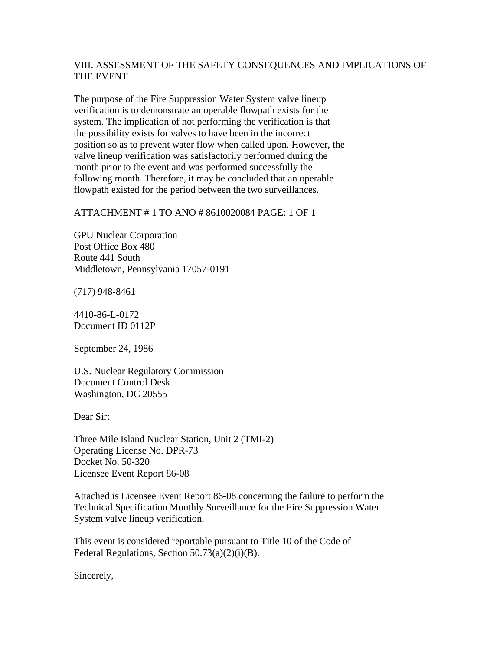## VIII. ASSESSMENT OF THE SAFETY CONSEQUENCES AND IMPLICATIONS OF THE EVENT

The purpose of the Fire Suppression Water System valve lineup verification is to demonstrate an operable flowpath exists for the system. The implication of not performing the verification is that the possibility exists for valves to have been in the incorrect position so as to prevent water flow when called upon. However, the valve lineup verification was satisfactorily performed during the month prior to the event and was performed successfully the following month. Therefore, it may be concluded that an operable flowpath existed for the period between the two surveillances.

## ATTACHMENT # 1 TO ANO # 8610020084 PAGE: 1 OF 1

GPU Nuclear Corporation Post Office Box 480 Route 441 South Middletown, Pennsylvania 17057-0191

(717) 948-8461

4410-86-L-0172 Document ID 0112P

September 24, 1986

U.S. Nuclear Regulatory Commission Document Control Desk Washington, DC 20555

Dear Sir:

Three Mile Island Nuclear Station, Unit 2 (TMI-2) Operating License No. DPR-73 Docket No. 50-320 Licensee Event Report 86-08

Attached is Licensee Event Report 86-08 concerning the failure to perform the Technical Specification Monthly Surveillance for the Fire Suppression Water System valve lineup verification.

This event is considered reportable pursuant to Title 10 of the Code of Federal Regulations, Section  $50.73(a)(2)(i)(B)$ .

Sincerely,